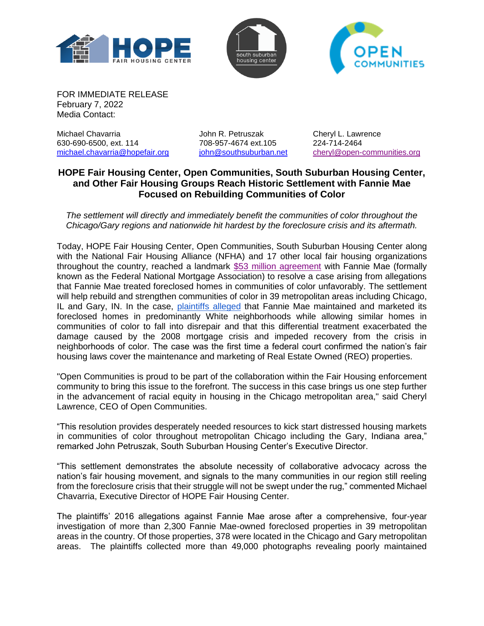





FOR IMMEDIATE RELEASE February 7, 2022 Media Contact:

Michael Chavarria John R. Petruszak Cheryl L. Lawrence 630-690-6500, ext. 114 [michael.chavarria@hopefair.org](mailto:michael.chavarria@hopefair.org) [john@southsuburban.net](mailto:john@southsuburban.net) [cheryl@open-communities.org](mailto:cheryl@open-communities.org)

## **HOPE Fair Housing Center, Open Communities, South Suburban Housing Center, and Other Fair Housing Groups Reach Historic Settlement with Fannie Mae Focused on Rebuilding Communities of Color**

*The settlement will directly and immediately benefit the communities of color throughout the Chicago/Gary regions and nationwide hit hardest by the foreclosure crisis and its aftermath.* 

Today, HOPE Fair Housing Center, Open Communities, South Suburban Housing Center along with the National Fair Housing Alliance (NFHA) and 17 other local fair housing organizations throughout the country, reached a landmark [\\$53 million agreement](https://nationalfairhousing.org/wp-content/uploads/2022/02/FM_Settlement_2022.pdf?eType=EmailBlastContent&eId=06ea30d8-0da2-4999-b784-89318704e422) with Fannie Mae (formally known as the Federal National Mortgage Association) to resolve a case arising from allegations that Fannie Mae treated foreclosed homes in communities of color unfavorably. The settlement will help rebuild and strengthen communities of color in 39 metropolitan areas including Chicago, IL and Gary, IN. In the case, [plaintiffs alleged](https://nationalfairhousing.org/wp-content/uploads/2021/07/Lawsuit-Against-Fannie-Mae.pdf) that Fannie Mae maintained and marketed its foreclosed homes in predominantly White neighborhoods while allowing similar homes in communities of color to fall into disrepair and that this differential treatment exacerbated the damage caused by the 2008 mortgage crisis and impeded recovery from the crisis in neighborhoods of color. The case was the first time a federal court confirmed the nation's fair housing laws cover the maintenance and marketing of Real Estate Owned (REO) properties.

"Open Communities is proud to be part of the collaboration within the Fair Housing enforcement community to bring this issue to the forefront. The success in this case brings us one step further in the advancement of racial equity in housing in the Chicago metropolitan area," said Cheryl Lawrence, CEO of Open Communities.

"This resolution provides desperately needed resources to kick start distressed housing markets in communities of color throughout metropolitan Chicago including the Gary, Indiana area," remarked John Petruszak, South Suburban Housing Center's Executive Director.

"This settlement demonstrates the absolute necessity of collaborative advocacy across the nation's fair housing movement, and signals to the many communities in our region still reeling from the foreclosure crisis that their struggle will not be swept under the rug," commented Michael Chavarria, Executive Director of HOPE Fair Housing Center.

The plaintiffs' 2016 allegations against Fannie Mae arose after a comprehensive, four-year investigation of more than 2,300 Fannie Mae-owned foreclosed properties in 39 metropolitan areas in the country. Of those properties, 378 were located in the Chicago and Gary metropolitan areas. The plaintiffs collected more than 49,000 photographs revealing poorly maintained